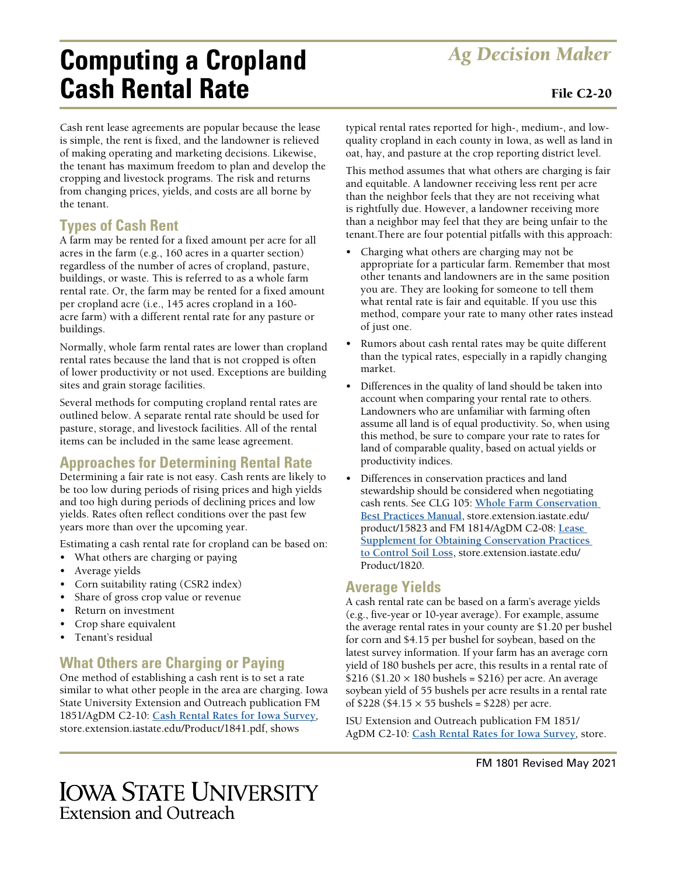# *Ag Decision Maker* **Computing a Cropland Cash Rental Rate** File C2-20

Cash rent lease agreements are popular because the lease is simple, the rent is fixed, and the landowner is relieved of making operating and marketing decisions. Likewise, the tenant has maximum freedom to plan and develop the cropping and livestock programs. The risk and returns from changing prices, yields, and costs are all borne by the tenant.

### **Types of Cash Rent**

A farm may be rented for a fixed amount per acre for all acres in the farm (e.g., 160 acres in a quarter section) regardless of the number of acres of cropland, pasture, buildings, or waste. This is referred to as a whole farm rental rate. Or, the farm may be rented for a fixed amount per cropland acre (i.e., 145 acres cropland in a 160 acre farm) with a different rental rate for any pasture or buildings.

Normally, whole farm rental rates are lower than cropland rental rates because the land that is not cropped is often of lower productivity or not used. Exceptions are building sites and grain storage facilities.

Several methods for computing cropland rental rates are outlined below. A separate rental rate should be used for pasture, storage, and livestock facilities. All of the rental items can be included in the same lease agreement.

### **Approaches for Determining Rental Rate**

Determining a fair rate is not easy. Cash rents are likely to be too low during periods of rising prices and high yields and too high during periods of declining prices and low yields. Rates often reflect conditions over the past few years more than over the upcoming year.

Estimating a cash rental rate for cropland can be based on:

- What others are charging or paying
- Average yields
- Corn suitability rating (CSR2 index)
- Share of gross crop value or revenue
- Return on investment
- Crop share equivalent
- Tenant's residual

### **What Others are Charging or Paying**

One method of establishing a cash rent is to set a rate similar to what other people in the area are charging. Iowa State University Extension and Outreach publication FM 1851/AgDM C2-10: **[Cash Rental Rates for Iowa Survey](https://store.extension.iastate.edu/Product/1841.pdf)***,*  store.extension.iastate.edu/Product/1841.pdf, shows

typical rental rates reported for high-, medium-, and lowquality cropland in each county in Iowa, as well as land in oat, hay, and pasture at the crop reporting district level.

This method assumes that what others are charging is fair and equitable. A landowner receiving less rent per acre than the neighbor feels that they are not receiving what is rightfully due. However, a landowner receiving more than a neighbor may feel that they are being unfair to the tenant.There are four potential pitfalls with this approach:

- Charging what others are charging may not be appropriate for a particular farm. Remember that most other tenants and landowners are in the same position you are. They are looking for someone to tell them what rental rate is fair and equitable. If you use this method, compare your rate to many other rates instead of just one.
- Rumors about cash rental rates may be quite different than the typical rates, especially in a rapidly changing market.
- Differences in the quality of land should be taken into account when comparing your rental rate to others. Landowners who are unfamiliar with farming often assume all land is of equal productivity. So, when using this method, be sure to compare your rate to rates for land of comparable quality, based on actual yields or productivity indices.
- Differences in conservation practices and land stewardship should be considered when negotiating cash rents. See CLG 105: **[Whole Farm Conservation](https://www.extension.iastate.edu/diversity/ext)  [Best Practices Manual](https://www.extension.iastate.edu/diversity/ext)**, store.extension.iastate.edu/ product/15823 and FM 1814/AgDM C2-08: **[Lease](http://www.extension.iastate.edu/agdm/wdleasing.html)  [Supplement for Obtaining Conservation Practices](http://www.extension.iastate.edu/agdm/wdleasing.html)  [to Control Soil Loss](http://www.extension.iastate.edu/agdm/wdleasing.html)**, store.extension.iastate.edu/ Product/1820.

#### **Average Yields**

A cash rental rate can be based on a farm's average yields (e.g., five-year or 10-year average). For example, assume the average rental rates in your county are \$1.20 per bushel for corn and \$4.15 per bushel for soybean, based on the latest survey information. If your farm has an average corn yield of 180 bushels per acre, this results in a rental rate of \$216 (\$1.20  $\times$  180 bushels = \$216) per acre. An average soybean yield of 55 bushels per acre results in a rental rate of \$228 (\$4.15 × 55 bushels = \$228) per acre.

ISU Extension and Outreach publication FM 1851/ AgDM C2-10*:* **[Cash Rental Rates for Iowa Survey](https://store.extension.iastate.edu/Product/1841.pdf)***,* store.

## **IOWA STATE UNIVERSITY Extension and Outreach**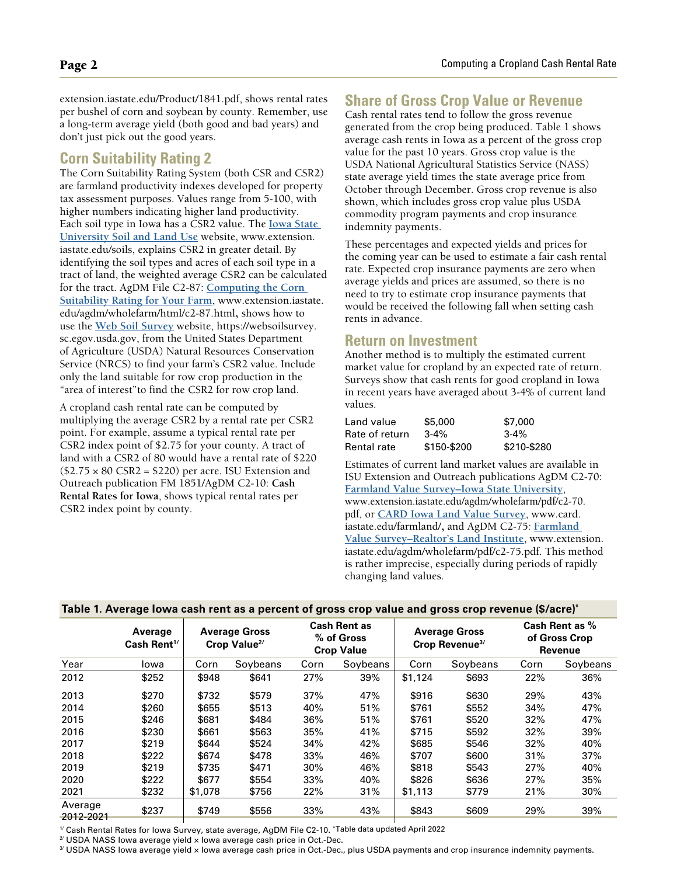extension.iastate.edu/Product/1841.pdf, shows rental rates per bushel of corn and soybean by county. Remember, use a long-term average yield (both good and bad years) and don't just pick out the good years.

#### **Corn Suitability Rating 2**

The Corn Suitability Rating System (both CSR and CSR2) are farmland productivity indexes developed for property tax assessment purposes. Values range from 5-100, with higher numbers indicating higher land productivity. Each soil type in Iowa has a CSR2 value. The **Iowa State University [Soil and Land Use](http://www.extension.iastate.edu/soils)** website, www.extension. iastate.edu/soils, explains CSR2 in greater detail. By identifying the soil types and acres of each soil type in a tract of land, the weighted average CSR2 can be calculated for the tract. AgDM File C2-87: **[Computing the Corn](http://www.extension.iastate.edu/agdm/wholefarm/html/c2-87.html)  [Suitability Rating for Your Farm](http://www.extension.iastate.edu/agdm/wholefarm/html/c2-87.html)**, www.extension.iastate. edu/agdm/wholefarm/html/c2-87.html, shows how to use the **[Web Soil Survey](https://websoilsurvey.sc.egov.usda.gov/)** website, https://websoilsurvey. sc.egov.usda.gov, from the United States Department of Agriculture (USDA) Natural Resources Conservation Service (NRCS) to find your farm's CSR2 value. Include only the land suitable for row crop production in the "area of interest"to find the CSR2 for row crop land.

A cropland cash rental rate can be computed by multiplying the average CSR2 by a rental rate per CSR2 point. For example, assume a typical rental rate per CSR2 index point of \$2.75 for your county. A tract of land with a CSR2 of 80 would have a rental rate of \$220  $($2.75 \times 80 \text{ CSR2} = $220)$  per acre. ISU Extension and Outreach publication FM 1851/AgDM C2-10: **Cash Rental Rates for Iowa**, shows typical rental rates per CSR2 index point by county.

#### **Share of Gross Crop Value or Revenue**

Cash rental rates tend to follow the gross revenue generated from the crop being produced. Table 1 shows average cash rents in Iowa as a percent of the gross crop value for the past 10 years. Gross crop value is the USDA National Agricultural Statistics Service (NASS) state average yield times the state average price from October through December. Gross crop revenue is also shown, which includes gross crop value plus USDA commodity program payments and crop insurance indemnity payments.

These percentages and expected yields and prices for the coming year can be used to estimate a fair cash rental rate. Expected crop insurance payments are zero when average yields and prices are assumed, so there is no need to try to estimate crop insurance payments that would be received the following fall when setting cash rents in advance.

#### **Return on Investment**

Another method is to multiply the estimated current market value for cropland by an expected rate of return. Surveys show that cash rents for good cropland in Iowa in recent years have averaged about 3-4% of current land values.

| Land value     | \$5,000     | \$7,000     |
|----------------|-------------|-------------|
| Rate of return | $3 - 4%$    | $3 - 4\%$   |
| Rental rate    | \$150-\$200 | \$210-\$280 |

Estimates of current land market values are available in ISU Extension and Outreach publications AgDM C2-70: **F[armland Value Survey–Iowa State University](http://www.extension.iastate.edu/agdm/wholefarm/pdf/c2-70.pdf)**, www.extension.iastate.edu/agdm/wholefarm/pdf/c2-70. pdf, or **[CARD Iowa Land Value Survey](https://www.card.iastate.edu/farmland/)**, www.card. iastate.edu/farmland/, and AgDM C2-75*:* **[Farmland](http://www.extension.iastate.edu/agdm/wholefarm/pdf/c2-75.pdf)  [Value Survey–Realtor's Land Institute](http://www.extension.iastate.edu/agdm/wholefarm/pdf/c2-75.pdf)**, www.extension. iastate.edu/agdm/wholefarm/pdf/c2-75.pdf. This method is rather imprecise, especially during periods of rapidly changing land values.

| Table T. Average lowa cash rent as a percent of gross crop value and gross crop revenue (\$/acre) |                                    |                                                  |          |                                                        |          |                                                    |          |                                            |          |
|---------------------------------------------------------------------------------------------------|------------------------------------|--------------------------------------------------|----------|--------------------------------------------------------|----------|----------------------------------------------------|----------|--------------------------------------------|----------|
|                                                                                                   | Average<br>Cash Rent <sup>1/</sup> | <b>Average Gross</b><br>Crop Value <sup>2/</sup> |          | <b>Cash Rent as</b><br>% of Gross<br><b>Crop Value</b> |          | <b>Average Gross</b><br>Crop Revenue <sup>3/</sup> |          | Cash Rent as %<br>of Gross Crop<br>Revenue |          |
| Year                                                                                              | Iowa                               | Corn                                             | Soybeans | Corn                                                   | Soybeans | Corn                                               | Soybeans | Corn                                       | Soybeans |
| 2012                                                                                              | \$252                              | \$948                                            | \$641    | 27%                                                    | 39%      | \$1,124                                            | \$693    | 22%                                        | 36%      |
| 2013                                                                                              | \$270                              | \$732                                            | \$579    | 37%                                                    | 47%      | \$916                                              | \$630    | 29%                                        | 43%      |
| 2014                                                                                              | \$260                              | \$655                                            | \$513    | 40%                                                    | 51%      | \$761                                              | \$552    | 34%                                        | 47%      |
| 2015                                                                                              | \$246                              | \$681                                            | \$484    | 36%                                                    | 51%      | \$761                                              | \$520    | 32%                                        | 47%      |
| 2016                                                                                              | \$230                              | \$661                                            | \$563    | 35%                                                    | 41%      | \$715                                              | \$592    | 32%                                        | 39%      |
| 2017                                                                                              | \$219                              | \$644                                            | \$524    | 34%                                                    | 42%      | \$685                                              | \$546    | 32%                                        | 40%      |
| 2018                                                                                              | \$222                              | \$674                                            | \$478    | 33%                                                    | 46%      | \$707                                              | \$600    | 31%                                        | 37%      |
| 2019                                                                                              | \$219                              | \$735                                            | \$471    | 30%                                                    | 46%      | \$818                                              | \$543    | 27%                                        | 40%      |
| 2020                                                                                              | \$222                              | \$677                                            | \$554    | 33%                                                    | 40%      | \$826                                              | \$636    | 27%                                        | 35%      |
| 2021                                                                                              | \$232                              | \$1,078                                          | \$756    | 22%                                                    | 31%      | \$1,113                                            | \$779    | 21%                                        | 30%      |
| Average<br>2012-2021                                                                              | \$237                              | \$749                                            | \$556    | 33%                                                    | 43%      | \$843                                              | \$609    | 29%                                        | 39%      |

#### **Table 1. Average Iowa cash rent as a percent of gross crop value and gross crop revenue (\$/acre)\***

1/ Cash Rental Rates for Iowa Survey, state average, AgDM File C2-10. \*Table data updated April 2022

 $2^{\prime}$  USDA NASS lowa average yield  $\times$  lowa average cash price in Oct.-Dec.

3/ USDA NASS lowa average yield x lowa average cash price in Oct.-Dec., plus USDA payments and crop insurance indemnity payments.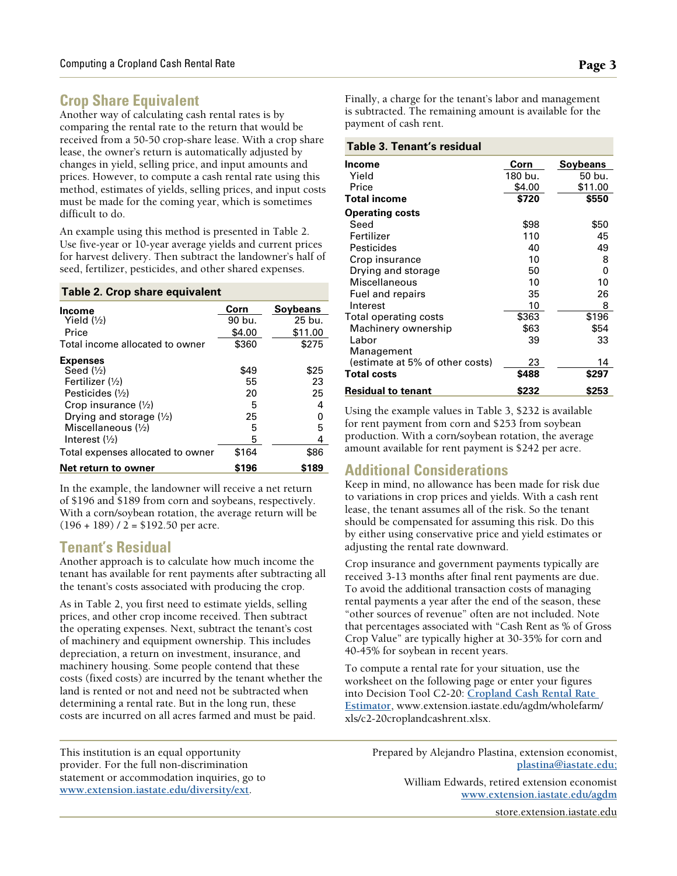### **Crop Share Equivalent**

Another way of calculating cash rental rates is by comparing the rental rate to the return that would be received from a 50-50 crop-share lease. With a crop share lease, the owner's return is automatically adjusted by changes in yield, selling price, and input amounts and prices. However, to compute a cash rental rate using this method, estimates of yields, selling prices, and input costs must be made for the coming year, which is sometimes difficult to do.

An example using this method is presented in Table 2. Use five-year or 10-year average yields and current prices for harvest delivery. Then subtract the landowner's half of seed, fertilizer, pesticides, and other shared expenses.

#### **Table 2. Crop share equivalent**

| Income                            | Corn   | <b>Sovbeans</b> |
|-----------------------------------|--------|-----------------|
| Yield $(\frac{1}{2})$             | 90 bu. | 25 bu.          |
| Price                             | \$4.00 | \$11.00         |
| Total income allocated to owner   | \$360  | \$275           |
| <b>Expenses</b>                   |        |                 |
| Seed $(\frac{1}{2})$              | \$49   | \$25            |
| Fertilizer $(\frac{1}{2})$        | 55     | 23              |
| Pesticides $(\frac{1}{2})$        | 20     | 25              |
| Crop insurance $(\frac{1}{2})$    | 5      | 4               |
| Drying and storage (1/2)          | 25     | 0               |
| Miscellaneous $(\frac{1}{2})$     | 5      | 5               |
| Interest $(\frac{1}{2})$          | 5      | 4               |
| Total expenses allocated to owner | \$164  | \$86            |
| Net return to owner               | \$196  | \$189           |

In the example, the landowner will receive a net return of \$196 and \$189 from corn and soybeans, respectively. With a corn/soybean rotation, the average return will be  $(196 + 189)$  / 2 = \$192.50 per acre.

#### **Tenant's Residual**

Another approach is to calculate how much income the tenant has available for rent payments after subtracting all the tenant's costs associated with producing the crop.

As in Table 2, you first need to estimate yields, selling prices, and other crop income received. Then subtract the operating expenses. Next, subtract the tenant's cost of machinery and equipment ownership. This includes depreciation, a return on investment, insurance, and machinery housing. Some people contend that these costs (fixed costs) are incurred by the tenant whether the land is rented or not and need not be subtracted when determining a rental rate. But in the long run, these costs are incurred on all acres farmed and must be paid.

This institution is an equal opportunity provider. For the full non-discrimination statement or accommodation inquiries, go to **[www.extension.iastate.edu/diversity/ext](https://www.extension.iastate.edu/diversity/ext)**.

Finally, a charge for the tenant's labor and management is subtracted. The remaining amount is available for the payment of cash rent.

#### **Table 3. Tenant's residual**

| гаріс Э. тепапсэ гезіццаг       |         |                 |
|---------------------------------|---------|-----------------|
| Income                          | Corn    | <b>Soybeans</b> |
| Yield                           | 180 bu. | 50 bu.          |
| Price                           | \$4.00  | \$11.00         |
| Total income                    | \$720   | \$550           |
| <b>Operating costs</b>          |         |                 |
| Seed                            | \$98    | \$50            |
| Fertilizer                      | 110     | 45              |
| <b>Pesticides</b>               | 40      | 49              |
| Crop insurance                  | 10      | 8               |
| Drying and storage              | 50      | 0               |
| Miscellaneous                   | 10      | 10              |
| Fuel and repairs                | 35      | 26              |
| Interest                        | 10      | 8               |
| Total operating costs           | \$363   | \$196           |
| Machinery ownership             | \$63    | \$54            |
| Labor                           | 39      | 33              |
| Management                      |         |                 |
| (estimate at 5% of other costs) | 23      | 14              |
| <b>Total costs</b>              | \$488   | \$297           |
| Residual to tenant              | \$232   | \$253           |

Using the example values in Table 3, \$232 is available for rent payment from corn and \$253 from soybean production. With a corn/soybean rotation, the average amount available for rent payment is \$242 per acre.

#### **Additional Considerations**

Keep in mind, no allowance has been made for risk due to variations in crop prices and yields. With a cash rent lease, the tenant assumes all of the risk. So the tenant should be compensated for assuming this risk. Do this by either using conservative price and yield estimates or adjusting the rental rate downward.

Crop insurance and government payments typically are received 3-13 months after final rent payments are due. To avoid the additional transaction costs of managing rental payments a year after the end of the season, these "other sources of revenue" often are not included. Note that percentages associated with "Cash Rent as % of Gross Crop Value" are typically higher at 30-35% for corn and 40-45% for soybean in recent years.

To compute a rental rate for your situation, use the worksheet on the following page or enter your figures into Decision Tool C2-20: **[Cropland Cash Rental Rate](http://www.extension.iastate.edu/agdm/wholefarm/xls/c2-20croplandcashrent.xlsx)  [Estimator](http://www.extension.iastate.edu/agdm/wholefarm/xls/c2-20croplandcashrent.xlsx)**, www.extension.iastate.edu/agdm/wholefarm/ xls/c2-20croplandcashrent.xlsx.

> Prepared by Alejandro Plastina, extension economist, **[plastina@iastate.edu;](mailto:plastina%40iastate.edu%20%0D?subject=)**

> > William Edwards, retired extension economist **[www.extension.iastate.edu/agdm](http://www.extension.iastate.edu/agdm
)**

> > > [store.extension.iastate.edu](https://store.extension.iastate.edu)